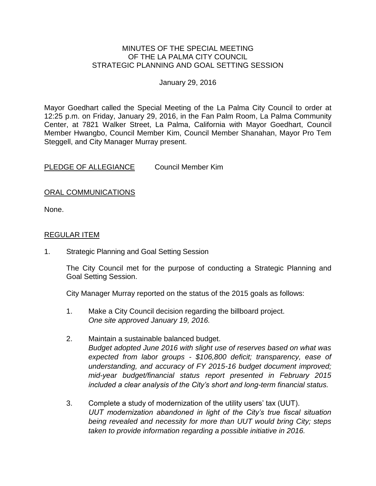### MINUTES OF THE SPECIAL MEETING OF THE LA PALMA CITY COUNCIL STRATEGIC PLANNING AND GOAL SETTING SESSION

#### January 29, 2016

Mayor Goedhart called the Special Meeting of the La Palma City Council to order at 12:25 p.m. on Friday, January 29, 2016, in the Fan Palm Room, La Palma Community Center, at 7821 Walker Street, La Palma, California with Mayor Goedhart, Council Member Hwangbo, Council Member Kim, Council Member Shanahan, Mayor Pro Tem Steggell, and City Manager Murray present.

PLEDGE OF ALLEGIANCE Council Member Kim

# ORAL COMMUNICATIONS

None.

### REGULAR ITEM

1. Strategic Planning and Goal Setting Session

The City Council met for the purpose of conducting a Strategic Planning and Goal Setting Session.

City Manager Murray reported on the status of the 2015 goals as follows:

- 1. Make a City Council decision regarding the billboard project. *One site approved January 19, 2016.*
- 2. Maintain a sustainable balanced budget. *Budget adopted June 2016 with slight use of reserves based on what was expected from labor groups - \$106,800 deficit; transparency, ease of understanding, and accuracy of FY 2015-16 budget document improved; mid-year budget/financial status report presented in February 2015 included a clear analysis of the City's short and long-term financial status.*
- 3. Complete a study of modernization of the utility users' tax (UUT). *UUT modernization abandoned in light of the City's true fiscal situation being revealed and necessity for more than UUT would bring City; steps taken to provide information regarding a possible initiative in 2016.*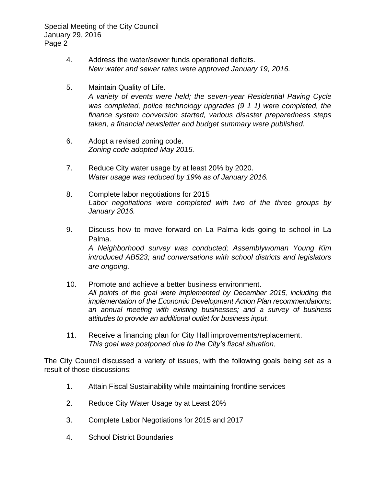Special Meeting of the City Council January 29, 2016 Page 2

- 4. Address the water/sewer funds operational deficits. *New water and sewer rates were approved January 19, 2016.*
- 5. Maintain Quality of Life. *A variety of events were held; the seven-year Residential Paving Cycle was completed, police technology upgrades (9 1 1) were completed, the finance system conversion started, various disaster preparedness steps taken, a financial newsletter and budget summary were published.*
- 6. Adopt a revised zoning code. *Zoning code adopted May 2015.*
- 7. Reduce City water usage by at least 20% by 2020. *Water usage was reduced by 19% as of January 2016.*
- 8. Complete labor negotiations for 2015 *Labor negotiations were completed with two of the three groups by January 2016.*
- 9. Discuss how to move forward on La Palma kids going to school in La Palma. *A Neighborhood survey was conducted; Assemblywoman Young Kim introduced AB523; and conversations with school districts and legislators are ongoing.*
- 10. Promote and achieve a better business environment. *All points of the goal were implemented by December 2015, including the implementation of the Economic Development Action Plan recommendations; an annual meeting with existing businesses; and a survey of business attitudes to provide an additional outlet for business input.*
- 11. Receive a financing plan for City Hall improvements/replacement. *This goal was postponed due to the City's fiscal situation.*

The City Council discussed a variety of issues, with the following goals being set as a result of those discussions:

- 1. Attain Fiscal Sustainability while maintaining frontline services
- 2. Reduce City Water Usage by at Least 20%
- 3. Complete Labor Negotiations for 2015 and 2017
- 4. School District Boundaries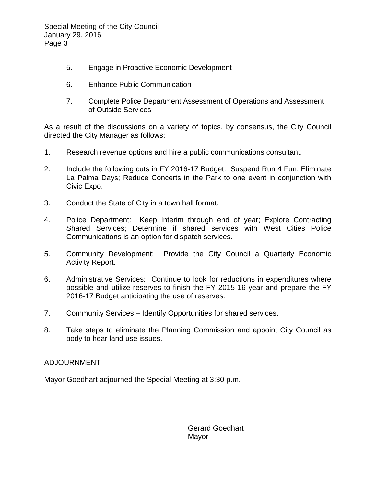Special Meeting of the City Council January 29, 2016 Page 3

- 5. Engage in Proactive Economic Development
- 6. Enhance Public Communication
- 7. Complete Police Department Assessment of Operations and Assessment of Outside Services

As a result of the discussions on a variety of topics, by consensus, the City Council directed the City Manager as follows:

- 1. Research revenue options and hire a public communications consultant.
- 2. Include the following cuts in FY 2016-17 Budget: Suspend Run 4 Fun; Eliminate La Palma Days; Reduce Concerts in the Park to one event in conjunction with Civic Expo.
- 3. Conduct the State of City in a town hall format.
- 4. Police Department: Keep Interim through end of year; Explore Contracting Shared Services; Determine if shared services with West Cities Police Communications is an option for dispatch services.
- 5. Community Development: Provide the City Council a Quarterly Economic Activity Report.
- 6. Administrative Services: Continue to look for reductions in expenditures where possible and utilize reserves to finish the FY 2015-16 year and prepare the FY 2016-17 Budget anticipating the use of reserves.
- 7. Community Services Identify Opportunities for shared services.
- 8. Take steps to eliminate the Planning Commission and appoint City Council as body to hear land use issues.

# ADJOURNMENT

Mayor Goedhart adjourned the Special Meeting at 3:30 p.m.

Gerard Goedhart Mayor